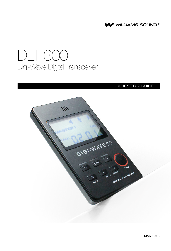

# DLT 300 Digi-Wave Digital Transceiver

#### QUICK SETUP GUIDE

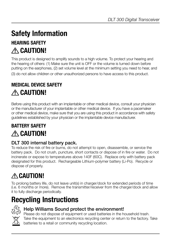# **Safety Information**

## **Hearing Safety CAUTION!**

This product is designed to amplify sounds to a high volume. To protect your hearing and the hearing of others: (1) Make sure the unit is OFF or the volume is turned down before putting on the earphones, (2) set volume level at the minimum setting you need to hear, and

(3) do not allow children or other unauthorized persons to have access to this product.

## **Medical Device Safety CAUTION!**

Before using this product with an implantable or other medical device, consult your physician or the manufacturer of your implantable or other medical device. If you have a pacemaker or other medical device, make sure that you are using this product in accordance with safety guidelines established by your physician or the implantable device manufacturer.

## **BATTERY SAFETY CAUTION!**

#### DLT 300 internal battery pack.

To reduce the risk of fire or burns, do not attempt to open, disassemble, or service the battery pack. Do not crush, puncture, short contacts or dispose of in fire or water. Do not incinerate or expose to temperatures above 140F (60C). Replace only with battery pack designated for this product. Rechargeable Lithium-polymer battery (Li-Po). Recycle or dispose of properly.

# **CAUTION!**

To prolong battery life, do not leave unit(s) in charger/dock for extended periods of time (i.e. 6 months or more). Remove the transmitter/receiver from the charger/dock and allow it to fully discharge periodically.

# **Recycling Instructions**



#### Help Williams Sound protect the environment!

Please do not dispose of equipment or used batteries in the household trash. Take the equipment to an electronics recycling center or return to the factory. Take batteries to a retail or community recycling location.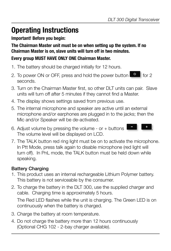# **Operating Instructions**

#### **Important! Before you begin:**

**The Chairman Master unit must be on when setting up the system. If no Chairman Master is on, slave units will turn off in two minutes. Every group MUST HAVE ONLY ONE Chairman Master.**

- 1. The battery should be charged initially for 12 hours.
- 2. To power ON or OFF, press and hold the power button for 2 seconds.
- 3. Turn on the Chairman Master first, so other DLT units can pair. Slave units will turn off after 5 minutes if they cannot find a Master.
- 4. The display shows settings saved from previous use.
- 5. The internal microphone and speaker are active until an external microphone and/or earphones are plugged in to the jacks; then the Mic and/or Speaker will be de-activated.
- 6. Adjust volume by pressing the volume or + buttons The volume level will be displayed on LCD.
- 7. The TALK button red ring light must be on to activate the microphone. In Ptt Mode, press talk again to disable microphone (red light will turn off). In PnL mode, the TALK button must be held down while speaking.

### Battery Charging

- 1. This product uses an internal rechargeable Lithium Polymer battery. This battery is not serviceable by the consumer.
- 2. To charge the battery in the DLT 300, use the supplied charger and cable. Charging time is approximately 5 hours.

The Red LED flashes while the unit is charging. The Green LED is on continuously when the battery is charged.

- 3. Charge the battery at room temperature.
- 4. Do not charge the battery more than 12 hours continuously (Optional CHG 102 - 2-bay charger available).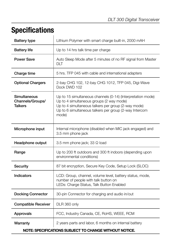# **Specifications**

| <b>Battery type</b>                                    | Lithium Polymer with smart charge built-in, 2000 mAH                                                                                                                                                                              |
|--------------------------------------------------------|-----------------------------------------------------------------------------------------------------------------------------------------------------------------------------------------------------------------------------------|
| <b>Battery life</b>                                    | Up to 14 hrs talk time per charge                                                                                                                                                                                                 |
| Power Save                                             | Auto Sleep Mode after 5 minutes of no RF signal from Master<br>DI T                                                                                                                                                               |
| Charge time                                            | 5 hrs. TFP 045 with cable and international adapters                                                                                                                                                                              |
| <b>Optional Chargers</b>                               | 2-bay CHG 102, 12-bay CHG 1012, TFP 045, Digi-Wave<br>Dock DWD 102                                                                                                                                                                |
| Simultaneous<br>Channels/Groups/<br><b>Talkers</b>     | Up to 15 simultaneous channels (0-14) (Interpretation mode)<br>Up to 4 simultaneous groups (2 way mode)<br>Up to 4 simultaneous talkers per group (2-way mode)<br>Up to 6 simultaneous talkers per group (2-way Intercom<br>mode) |
| Microphone input                                       | Internal microphone (disabled when MIC jack engaged) and<br>3.5 mm phone jack                                                                                                                                                     |
| Headphone output                                       | 3.5 mm phone jack; 33 Ω load                                                                                                                                                                                                      |
| Range                                                  | Up to 200 ft outdoors and 300 ft indoors (depending upon<br>environmental conditions)                                                                                                                                             |
| Security                                               | 87 bit encryption, Secure Key Code, Setup Lock (SLOC)                                                                                                                                                                             |
| Indicators                                             | LCD: Group, channel, volume level, battery status, mode,<br>number of people with talk button on<br>LEDs: Charge Status, Talk Button Enabled                                                                                      |
| <b>Docking Connector</b>                               | 30-pin Connector for charging and audio in/out                                                                                                                                                                                    |
| <b>Compatible Receiver</b>                             | DLR 360 only                                                                                                                                                                                                                      |
| Approvals                                              | FCC, Industry Canada, CE, RoHS, WEEE, RCM                                                                                                                                                                                         |
| Warranty                                               | 2 years parts and labor, 6 months on internal battery                                                                                                                                                                             |
| NOTE: SPECIFICATIONS SUBJECT TO CHANGE WITHOUT NOTICE. |                                                                                                                                                                                                                                   |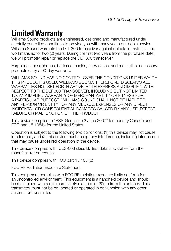## **Limited Warranty**

Williams Sound products are engineered, designed and manufactured under carefully controlled conditions to provide you with many years of reliable service. Williams Sound warrants the DLT 300 transceiver against defects in materials and workmanship for two (2) years. During the first two years from the purchase date, we will promptly repair or replace the DLT 300 transceiver.

Earphones, headphones, batteries, cables, carry cases, and most other accessory products carry a 90-day warranty.

WILLIAMS SOUND HAS NO CONTROL OVER THE CONDITIONS UNDER WHICH THIS PRODUCT IS USED. WILLIAMS SOUND, THEREFORE, DISCLAIMS ALL WARRANTIES NOT SET FORTH ABOVE, BOTH EXPRESS AND IMPLIED, WITH RESPECT TO THE DLT 300 TRANSCEIVER, INCLUDING BUT NOT LIMITED TO, ANY IMPLIED WARRANTY OF MERCHANTABILITY OR FITNESS FOR A PARTICULAR PURPOSE. WILLIAMS SOUND SHALL NOT BE LIABLE TO ANY PERSON OR ENTITY FOR ANY MEDICAL EXPENSES OR ANY DIRECT, INCIDENTAL OR CONSEQUENTIAL DAMAGES CAUSED BY ANY USE, DEFECT, FAILURE OR MALFUNCTION OF THE PRODUCT,

This device complies to "RSS-Gen Issue 2 June 2007" for Industry Canada and FCC part 15.105(b) for the United States.

Operation is subject to the following two conditions: (1) this device may not cause interference, and (2) this device must accept any interference, including interference that may cause undesired operation of the device.

This device complies with ICES-003 class B. Test data is available from the manufacturer on request.

This device complies with FCC part 15.105 (b)

FCC RF Radiation Exposure Statement

This equipment complies with FCC RF radiation exposure limits set forth for an uncontrolled environment. This equipment is a handheld device and should be maintained with a minimum safety distance of 20cm from the antenna. This transmitter must not be co-located or operated in conjunction with any other antenna or transmitter.